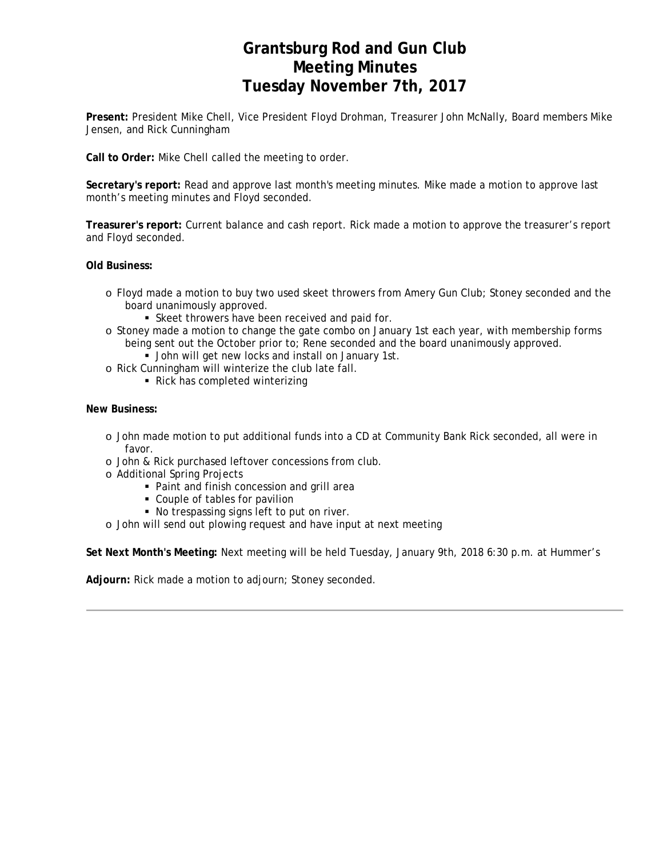# **Grantsburg Rod and Gun Club Meeting Minutes Tuesday November 7th, 2017**

**Present:** President Mike Chell, Vice President Floyd Drohman, Treasurer John McNally, Board members Mike Jensen, and Rick Cunningham

**Call to Order:** Mike Chell called the meeting to order.

**Secretary's report:** Read and approve last month's meeting minutes. Mike made a motion to approve last month's meeting minutes and Floyd seconded.

**Treasurer's report:** Current balance and cash report. Rick made a motion to approve the treasurer's report and Floyd seconded.

**Old Business:**

- o Floyd made a motion to buy two used skeet throwers from Amery Gun Club; Stoney seconded and the board unanimously approved.
	- Skeet throwers have been received and paid for.
- o Stoney made a motion to change the gate combo on January 1st each year, with membership forms being sent out the October prior to; Rene seconded and the board unanimously approved.
	- **John will get new locks and install on January 1st.**
- o Rick Cunningham will winterize the club late fall.
	- Rick has completed winterizing

### **New Business:**

- o John made motion to put additional funds into a CD at Community Bank Rick seconded, all were in favor.
- o John & Rick purchased leftover concessions from club.
- o Additional Spring Projects
	- Paint and finish concession and grill area
	- Couple of tables for pavilion
	- No trespassing signs left to put on river.
- o John will send out plowing request and have input at next meeting

**Set Next Month's Meeting:** Next meeting will be held Tuesday, January 9th, 2018 6:30 p.m. at Hummer's

**Adjourn:** Rick made a motion to adjourn; Stoney seconded.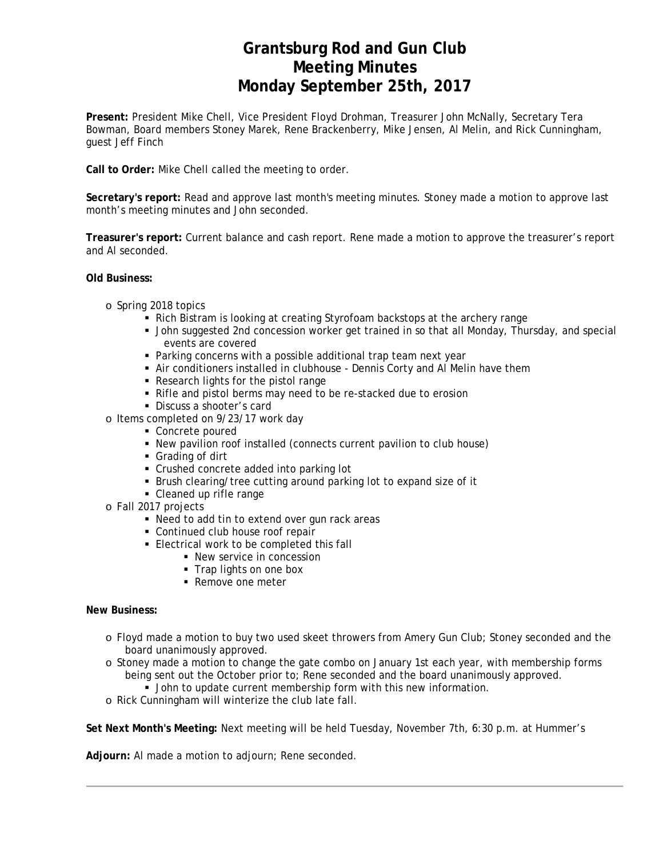# **Grantsburg Rod and Gun Club Meeting Minutes Monday September 25th, 2017**

**Present:** President Mike Chell, Vice President Floyd Drohman, Treasurer John McNally, Secretary Tera Bowman, Board members Stoney Marek, Rene Brackenberry, Mike Jensen, Al Melin, and Rick Cunningham, guest Jeff Finch

**Call to Order:** Mike Chell called the meeting to order.

**Secretary's report:** Read and approve last month's meeting minutes. Stoney made a motion to approve last month's meeting minutes and John seconded.

**Treasurer's report:** Current balance and cash report. Rene made a motion to approve the treasurer's report and Al seconded.

### **Old Business:**

- o Spring 2018 topics
	- Rich Bistram is looking at creating Styrofoam backstops at the archery range
	- John suggested 2nd concession worker get trained in so that all Monday, Thursday, and special events are covered
	- Parking concerns with a possible additional trap team next year
	- Air conditioners installed in clubhouse Dennis Corty and Al Melin have them
	- Research lights for the pistol range
	- Rifle and pistol berms may need to be re-stacked due to erosion
	- **Discuss a shooter's card**
- o Items completed on 9/23/17 work day
	- Concrete poured
	- New pavilion roof installed (connects current pavilion to club house)
	- Grading of dirt
	- Crushed concrete added into parking lot
	- Brush clearing/tree cutting around parking lot to expand size of it
	- Cleaned up rifle range
- o Fall 2017 projects
	- Need to add tin to extend over gun rack areas
	- Continued club house roof repair
	- **Electrical work to be completed this fall** 
		- New service in concession
		- Trap lights on one box
		- Remove one meter

### **New Business:**

- o Floyd made a motion to buy two used skeet throwers from Amery Gun Club; Stoney seconded and the board unanimously approved.
- o Stoney made a motion to change the gate combo on January 1st each year, with membership forms being sent out the October prior to; Rene seconded and the board unanimously approved.
	- **John to update current membership form with this new information.**
- o Rick Cunningham will winterize the club late fall.

**Set Next Month's Meeting:** Next meeting will be held Tuesday, November 7th, 6:30 p.m. at Hummer's

**Adjourn:** Al made a motion to adjourn; Rene seconded.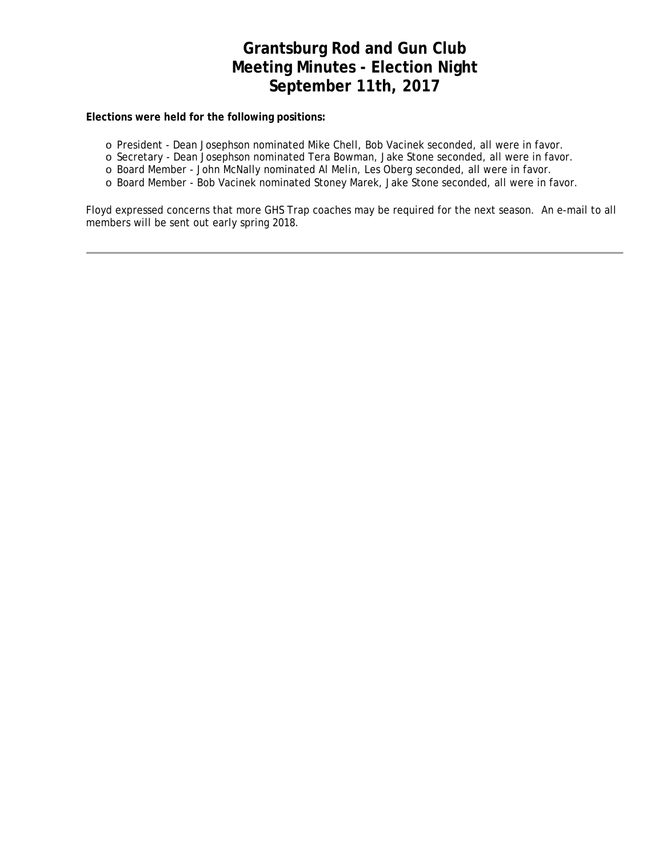# **Grantsburg Rod and Gun Club Meeting Minutes - Election Night September 11th, 2017**

### **Elections were held for the following positions:**

- o President Dean Josephson nominated Mike Chell, Bob Vacinek seconded, all were in favor.
- o Secretary Dean Josephson nominated Tera Bowman, Jake Stone seconded, all were in favor.
- o Board Member John McNally nominated Al Melin, Les Oberg seconded, all were in favor.
- o Board Member Bob Vacinek nominated Stoney Marek, Jake Stone seconded, all were in favor.

Floyd expressed concerns that more GHS Trap coaches may be required for the next season. An e-mail to all members will be sent out early spring 2018.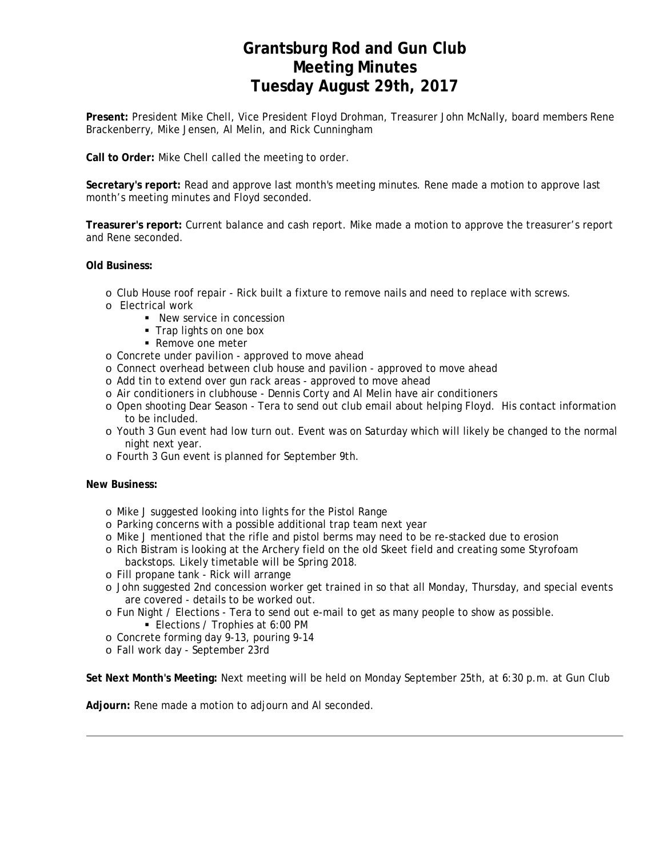# **Grantsburg Rod and Gun Club Meeting Minutes Tuesday August 29th, 2017**

**Present:** President Mike Chell, Vice President Floyd Drohman, Treasurer John McNally, board members Rene Brackenberry, Mike Jensen, Al Melin, and Rick Cunningham

**Call to Order:** Mike Chell called the meeting to order.

**Secretary's report:** Read and approve last month's meeting minutes. Rene made a motion to approve last month's meeting minutes and Floyd seconded.

**Treasurer's report:** Current balance and cash report. Mike made a motion to approve the treasurer's report and Rene seconded.

### **Old Business:**

- o Club House roof repair Rick built a fixture to remove nails and need to replace with screws.
- o Electrical work
	- New service in concession
		- **Trap lights on one box**
		- Remove one meter
- o Concrete under pavilion approved to move ahead
- o Connect overhead between club house and pavilion approved to move ahead
- o Add tin to extend over gun rack areas approved to move ahead
- o Air conditioners in clubhouse Dennis Corty and Al Melin have air conditioners
- o Open shooting Dear Season Tera to send out club email about helping Floyd. His contact information to be included.
- o Youth 3 Gun event had low turn out. Event was on Saturday which will likely be changed to the normal night next year.
- o Fourth 3 Gun event is planned for September 9th.

#### **New Business:**

- o Mike J suggested looking into lights for the Pistol Range
- o Parking concerns with a possible additional trap team next year
- o Mike J mentioned that the rifle and pistol berms may need to be re-stacked due to erosion
- o Rich Bistram is looking at the Archery field on the old Skeet field and creating some Styrofoam backstops. Likely timetable will be Spring 2018.
- o Fill propane tank Rick will arrange
- o John suggested 2nd concession worker get trained in so that all Monday, Thursday, and special events are covered - details to be worked out.
- o Fun Night / Elections Tera to send out e-mail to get as many people to show as possible. **Elections / Trophies at 6:00 PM**
- o Concrete forming day 9-13, pouring 9-14
- o Fall work day September 23rd

**Set Next Month's Meeting:** Next meeting will be held on Monday September 25th, at 6:30 p.m. at Gun Club

**Adjourn:** Rene made a motion to adjourn and Al seconded.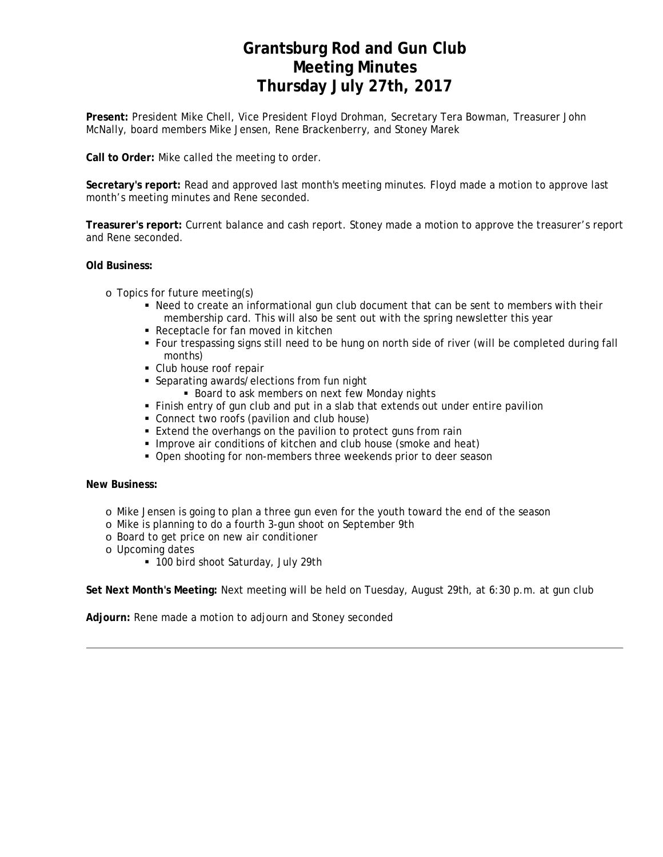# **Grantsburg Rod and Gun Club Meeting Minutes Thursday July 27th, 2017**

**Present:** President Mike Chell, Vice President Floyd Drohman, Secretary Tera Bowman, Treasurer John McNally, board members Mike Jensen, Rene Brackenberry, and Stoney Marek

**Call to Order:** Mike called the meeting to order.

**Secretary's report:** Read and approved last month's meeting minutes. Floyd made a motion to approve last month's meeting minutes and Rene seconded.

**Treasurer's report:** Current balance and cash report. Stoney made a motion to approve the treasurer's report and Rene seconded.

### **Old Business:**

- o Topics for future meeting(s)
	- Need to create an informational gun club document that can be sent to members with their membership card. This will also be sent out with the spring newsletter this year
	- Receptacle for fan moved in kitchen
	- Four trespassing signs still need to be hung on north side of river (will be completed during fall months)
	- Club house roof repair
	- Separating awards/elections from fun night
		- **Board to ask members on next few Monday nights**
	- Finish entry of gun club and put in a slab that extends out under entire pavilion
	- Connect two roofs (pavilion and club house)
	- **Extend the overhangs on the pavilion to protect guns from rain**
	- **Improve air conditions of kitchen and club house (smoke and heat)**
	- Open shooting for non-members three weekends prior to deer season

### **New Business:**

- o Mike Jensen is going to plan a three gun even for the youth toward the end of the season
- o Mike is planning to do a fourth 3-gun shoot on September 9th
- o Board to get price on new air conditioner
- o Upcoming dates
	- 100 bird shoot Saturday, July 29th

**Set Next Month's Meeting:** Next meeting will be held on Tuesday, August 29th, at 6:30 p.m. at gun club

**Adjourn:** Rene made a motion to adjourn and Stoney seconded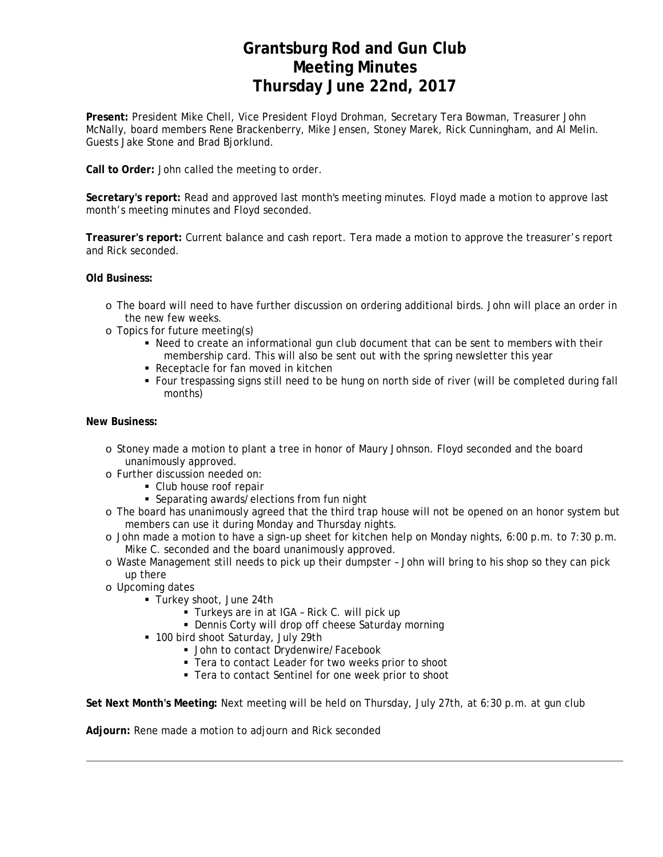### **Grantsburg Rod and Gun Club Meeting Minutes Thursday June 22nd, 2017**

**Present:** President Mike Chell, Vice President Floyd Drohman, Secretary Tera Bowman, Treasurer John McNally, board members Rene Brackenberry, Mike Jensen, Stoney Marek, Rick Cunningham, and Al Melin. Guests Jake Stone and Brad Bjorklund.

**Call to Order:** John called the meeting to order.

**Secretary's report:** Read and approved last month's meeting minutes. Floyd made a motion to approve last month's meeting minutes and Floyd seconded.

**Treasurer's report:** Current balance and cash report. Tera made a motion to approve the treasurer's report and Rick seconded.

### **Old Business:**

- o The board will need to have further discussion on ordering additional birds. John will place an order in the new few weeks.
- o Topics for future meeting(s)
	- Need to create an informational gun club document that can be sent to members with their membership card. This will also be sent out with the spring newsletter this year
	- Receptacle for fan moved in kitchen
	- Four trespassing signs still need to be hung on north side of river (will be completed during fall months)

### **New Business:**

- o Stoney made a motion to plant a tree in honor of Maury Johnson. Floyd seconded and the board unanimously approved.
- o Further discussion needed on:
	- Club house roof repair
	- Separating awards/elections from fun night
- o The board has unanimously agreed that the third trap house will not be opened on an honor system but members can use it during Monday and Thursday nights.
- o John made a motion to have a sign-up sheet for kitchen help on Monday nights, 6:00 p.m. to 7:30 p.m. Mike C. seconded and the board unanimously approved.
- o Waste Management still needs to pick up their dumpster John will bring to his shop so they can pick up there
- o Upcoming dates
	- Turkey shoot, June 24th
		- **Turkeys are in at IGA Rick C. will pick up**
		- **-** Dennis Corty will drop off cheese Saturday morning
	- 100 bird shoot Saturday, July 29th
		- **John to contact Drydenwire/Facebook**
		- **Tera to contact Leader for two weeks prior to shoot**
		- Tera to contact Sentinel for one week prior to shoot

**Set Next Month's Meeting:** Next meeting will be held on Thursday, July 27th, at 6:30 p.m. at gun club

**Adjourn:** Rene made a motion to adjourn and Rick seconded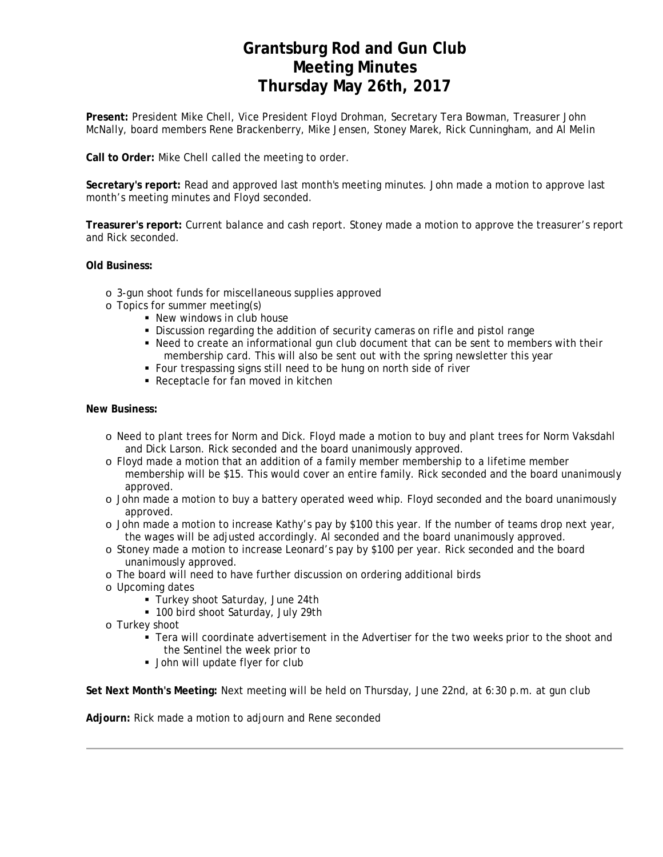# **Grantsburg Rod and Gun Club Meeting Minutes Thursday May 26th, 2017**

**Present:** President Mike Chell, Vice President Floyd Drohman, Secretary Tera Bowman, Treasurer John McNally, board members Rene Brackenberry, Mike Jensen, Stoney Marek, Rick Cunningham, and Al Melin

**Call to Order:** Mike Chell called the meeting to order.

**Secretary's report:** Read and approved last month's meeting minutes. John made a motion to approve last month's meeting minutes and Floyd seconded.

**Treasurer's report:** Current balance and cash report. Stoney made a motion to approve the treasurer's report and Rick seconded.

**Old Business:**

- o 3-gun shoot funds for miscellaneous supplies approved
- o Topics for summer meeting(s)
	- New windows in club house
	- Discussion regarding the addition of security cameras on rifle and pistol range
	- Need to create an informational gun club document that can be sent to members with their membership card. This will also be sent out with the spring newsletter this year
	- Four trespassing signs still need to be hung on north side of river
	- Receptacle for fan moved in kitchen

#### **New Business:**

- o Need to plant trees for Norm and Dick. Floyd made a motion to buy and plant trees for Norm Vaksdahl and Dick Larson. Rick seconded and the board unanimously approved.
- o Floyd made a motion that an addition of a family member membership to a lifetime member membership will be \$15. This would cover an entire family. Rick seconded and the board unanimously approved.
- o John made a motion to buy a battery operated weed whip. Floyd seconded and the board unanimously approved.
- o John made a motion to increase Kathy's pay by \$100 this year. If the number of teams drop next year, the wages will be adjusted accordingly. Al seconded and the board unanimously approved.
- o Stoney made a motion to increase Leonard's pay by \$100 per year. Rick seconded and the board unanimously approved.
- o The board will need to have further discussion on ordering additional birds
- o Upcoming dates
	- Turkey shoot Saturday, June 24th
	- 100 bird shoot Saturday, July 29th
- o Turkey shoot
	- Tera will coordinate advertisement in the Advertiser for the two weeks prior to the shoot and the Sentinel the week prior to
	- **John will update flyer for club**

**Set Next Month's Meeting:** Next meeting will be held on Thursday, June 22nd, at 6:30 p.m. at gun club

**Adjourn:** Rick made a motion to adjourn and Rene seconded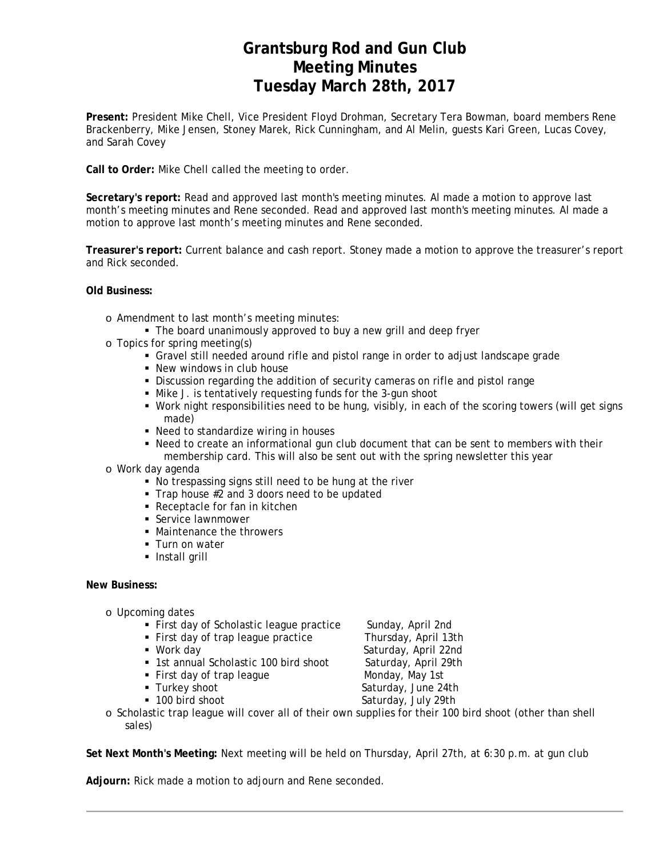# **Grantsburg Rod and Gun Club Meeting Minutes Tuesday March 28th, 2017**

**Present:** President Mike Chell, Vice President Floyd Drohman, Secretary Tera Bowman, board members Rene Brackenberry, Mike Jensen, Stoney Marek, Rick Cunningham, and Al Melin, guests Kari Green, Lucas Covey, and Sarah Covey

**Call to Order:** Mike Chell called the meeting to order.

**Secretary's report:** Read and approved last month's meeting minutes. Al made a motion to approve last month's meeting minutes and Rene seconded. Read and approved last month's meeting minutes. Al made a motion to approve last month's meeting minutes and Rene seconded.

**Treasurer's report:** Current balance and cash report. Stoney made a motion to approve the treasurer's report and Rick seconded.

### **Old Business:**

- o Amendment to last month's meeting minutes:
	- The board unanimously approved to buy a new grill and deep fryer
- o Topics for spring meeting(s)
	- Gravel still needed around rifle and pistol range in order to adjust landscape grade
	- New windows in club house
	- Discussion regarding the addition of security cameras on rifle and pistol range
	- Mike J. is tentatively requesting funds for the 3-gun shoot
	- Work night responsibilities need to be hung, visibly, in each of the scoring towers (will get signs made)
	- Need to standardize wiring in houses
	- Need to create an informational gun club document that can be sent to members with their membership card. This will also be sent out with the spring newsletter this year
- o Work day agenda
	- No trespassing signs still need to be hung at the river
	- Trap house #2 and 3 doors need to be updated
	- Receptacle for fan in kitchen
	- **Service lawnmower**
	- Maintenance the throwers
	- **Turn on water**
	- **Install grill**

### **New Business:**

- o Upcoming dates
	- First day of Scholastic league practice Sunday, April 2nd
	- First day of trap league practice Thursday, April 13th
	-
	- **1st annual Scholastic 100 bird shoot** Saturday, April 29th
	- First day of trap league Monday, May 1st
	-
	-

■ Work day Saturday, April 22nd ■ Turkey shoot Saturday, June 24th ■ 100 bird shoot Saturday, July 29th

o Scholastic trap league will cover all of their own supplies for their 100 bird shoot (other than shell sales)

**Set Next Month's Meeting:** Next meeting will be held on Thursday, April 27th, at 6:30 p.m. at gun club

**Adjourn:** Rick made a motion to adjourn and Rene seconded.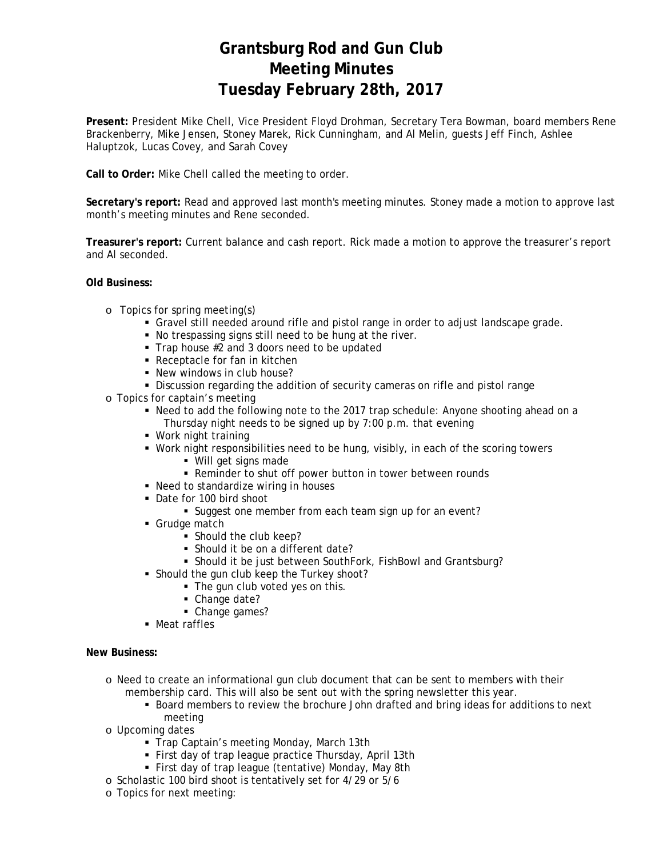# **Grantsburg Rod and Gun Club Meeting Minutes Tuesday February 28th, 2017**

**Present:** President Mike Chell, Vice President Floyd Drohman, Secretary Tera Bowman, board members Rene Brackenberry, Mike Jensen, Stoney Marek, Rick Cunningham, and Al Melin, guests Jeff Finch, Ashlee Haluptzok, Lucas Covey, and Sarah Covey

**Call to Order:** Mike Chell called the meeting to order.

**Secretary's report:** Read and approved last month's meeting minutes. Stoney made a motion to approve last month's meeting minutes and Rene seconded.

**Treasurer's report:** Current balance and cash report. Rick made a motion to approve the treasurer's report and Al seconded.

**Old Business:**

- o Topics for spring meeting(s)
	- Gravel still needed around rifle and pistol range in order to adjust landscape grade.
	- No trespassing signs still need to be hung at the river.
	- Trap house #2 and 3 doors need to be updated
	- Receptacle for fan in kitchen
	- New windows in club house?
	- Discussion regarding the addition of security cameras on rifle and pistol range
- o Topics for captain's meeting
	- Need to add the following note to the 2017 trap schedule: Anyone shooting ahead on a Thursday night needs to be signed up by 7:00 p.m. that evening
	- Work night training
	- Work night responsibilities need to be hung, visibly, in each of the scoring towers
		- Will get signs made
		- Reminder to shut off power button in tower between rounds
	- Need to standardize wiring in houses
	- Date for 100 bird shoot
		- Suggest one member from each team sign up for an event?
	- **Grudge match** 
		- Should the club keep?
		- Should it be on a different date?
		- Should it be just between SouthFork, FishBowl and Grantsburg?
	- **Should the gun club keep the Turkey shoot?** 
		- The gun club voted yes on this.
		- Change date?
		- Change games?
	- Meat raffles

**New Business:**

- o Need to create an informational gun club document that can be sent to members with their
	- membership card. This will also be sent out with the spring newsletter this year.
		- Board members to review the brochure John drafted and bring ideas for additions to next meeting
- o Upcoming dates
	- **Trap Captain's meeting Monday, March 13th**
	- First day of trap league practice Thursday, April 13th
	- First day of trap league (tentative) Monday, May 8th
- o Scholastic 100 bird shoot is tentatively set for 4/29 or 5/6
- o Topics for next meeting: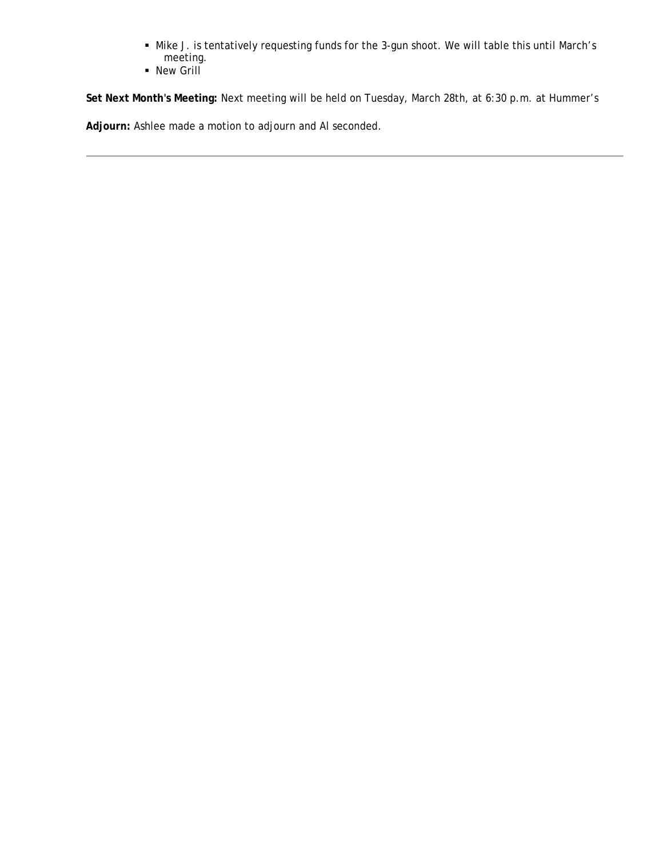- Mike J. is tentatively requesting funds for the 3-gun shoot. We will table this until March's meeting.
- **New Grill**

**Set Next Month's Meeting:** Next meeting will be held on Tuesday, March 28th, at 6:30 p.m. at Hummer's

**Adjourn:** Ashlee made a motion to adjourn and Al seconded.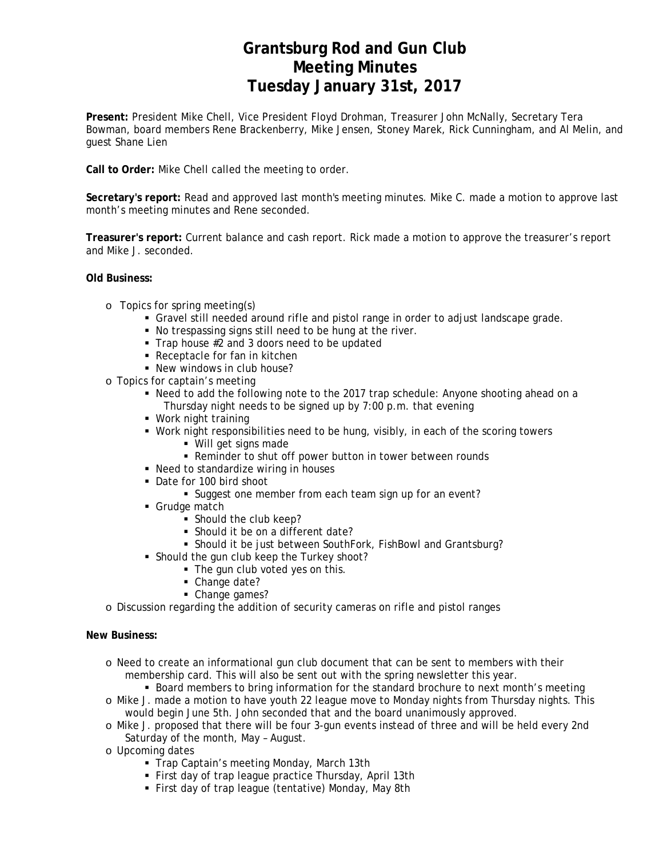# **Grantsburg Rod and Gun Club Meeting Minutes Tuesday January 31st, 2017**

**Present:** President Mike Chell, Vice President Floyd Drohman, Treasurer John McNally, Secretary Tera Bowman, board members Rene Brackenberry, Mike Jensen, Stoney Marek, Rick Cunningham, and Al Melin, and guest Shane Lien

**Call to Order:** Mike Chell called the meeting to order.

**Secretary's report:** Read and approved last month's meeting minutes. Mike C. made a motion to approve last month's meeting minutes and Rene seconded.

**Treasurer's report:** Current balance and cash report. Rick made a motion to approve the treasurer's report and Mike J. seconded.

### **Old Business:**

- o Topics for spring meeting(s)
	- Gravel still needed around rifle and pistol range in order to adjust landscape grade.
	- No trespassing signs still need to be hung at the river.
	- Trap house #2 and 3 doors need to be updated
	- Receptacle for fan in kitchen
	- New windows in club house?
- o Topics for captain's meeting
	- Need to add the following note to the 2017 trap schedule: Anyone shooting ahead on a Thursday night needs to be signed up by 7:00 p.m. that evening
	- Work night training
	- Work night responsibilities need to be hung, visibly, in each of the scoring towers
		- Will get signs made
		- Reminder to shut off power button in tower between rounds
	- Need to standardize wiring in houses
	- Date for 100 bird shoot
		- Suggest one member from each team sign up for an event?
	- Grudge match
		- Should the club keep?
		- Should it be on a different date?
		- Should it be just between SouthFork, FishBowl and Grantsburg?
	- Should the gun club keep the Turkey shoot?
		- The gun club voted yes on this.
		- Change date?
		- Change games?
- o Discussion regarding the addition of security cameras on rifle and pistol ranges

### **New Business:**

- o Need to create an informational gun club document that can be sent to members with their membership card. This will also be sent out with the spring newsletter this year.
	- **Board members to bring information for the standard brochure to next month's meeting**
- o Mike J. made a motion to have youth 22 league move to Monday nights from Thursday nights. This would begin June 5th. John seconded that and the board unanimously approved.
- o Mike J. proposed that there will be four 3-gun events instead of three and will be held every 2nd Saturday of the month, May – August.
- o Upcoming dates
	- Trap Captain's meeting Monday, March 13th
	- First day of trap league practice Thursday, April 13th
	- First day of trap league (tentative) Monday, May 8th